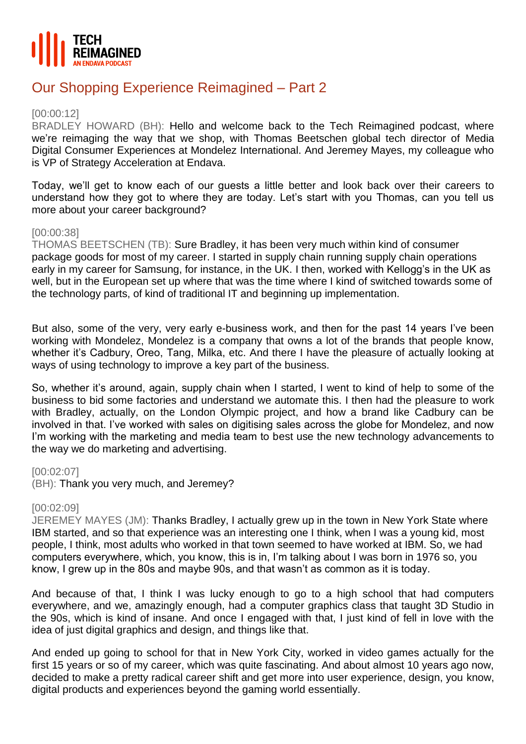

# Our Shopping Experience Reimagined – Part 2

#### [00:00:12]

BRADLEY HOWARD (BH): Hello and welcome back to the Tech Reimagined podcast, where we're reimaging the way that we shop, with Thomas Beetschen global tech director of Media Digital Consumer Experiences at Mondelez International. And Jeremey Mayes, my colleague who is VP of Strategy Acceleration at Endava.

Today, we'll get to know each of our guests a little better and look back over their careers to understand how they got to where they are today. Let's start with you Thomas, can you tell us more about your career background?

## [00:00:38]

THOMAS BEETSCHEN (TB): Sure Bradley, it has been very much within kind of consumer package goods for most of my career. I started in supply chain running supply chain operations early in my career for Samsung, for instance, in the UK. I then, worked with Kellogg's in the UK as well, but in the European set up where that was the time where I kind of switched towards some of the technology parts, of kind of traditional IT and beginning up implementation.

But also, some of the very, very early e-business work, and then for the past 14 years I've been working with Mondelez, Mondelez is a company that owns a lot of the brands that people know, whether it's Cadbury, Oreo, Tang, Milka, etc. And there I have the pleasure of actually looking at ways of using technology to improve a key part of the business.

So, whether it's around, again, supply chain when I started, I went to kind of help to some of the business to bid some factories and understand we automate this. I then had the pleasure to work with Bradley, actually, on the London Olympic project, and how a brand like Cadbury can be involved in that. I've worked with sales on digitising sales across the globe for Mondelez, and now I'm working with the marketing and media team to best use the new technology advancements to the way we do marketing and advertising.

#### [00:02:07]

(BH): Thank you very much, and Jeremey?

#### [00:02:09]

JEREMEY MAYES (JM): Thanks Bradley, I actually grew up in the town in New York State where IBM started, and so that experience was an interesting one I think, when I was a young kid, most people, I think, most adults who worked in that town seemed to have worked at IBM. So, we had computers everywhere, which, you know, this is in, I'm talking about I was born in 1976 so, you know, I grew up in the 80s and maybe 90s, and that wasn't as common as it is today.

And because of that, I think I was lucky enough to go to a high school that had computers everywhere, and we, amazingly enough, had a computer graphics class that taught 3D Studio in the 90s, which is kind of insane. And once I engaged with that, I just kind of fell in love with the idea of just digital graphics and design, and things like that.

And ended up going to school for that in New York City, worked in video games actually for the first 15 years or so of my career, which was quite fascinating. And about almost 10 years ago now, decided to make a pretty radical career shift and get more into user experience, design, you know, digital products and experiences beyond the gaming world essentially.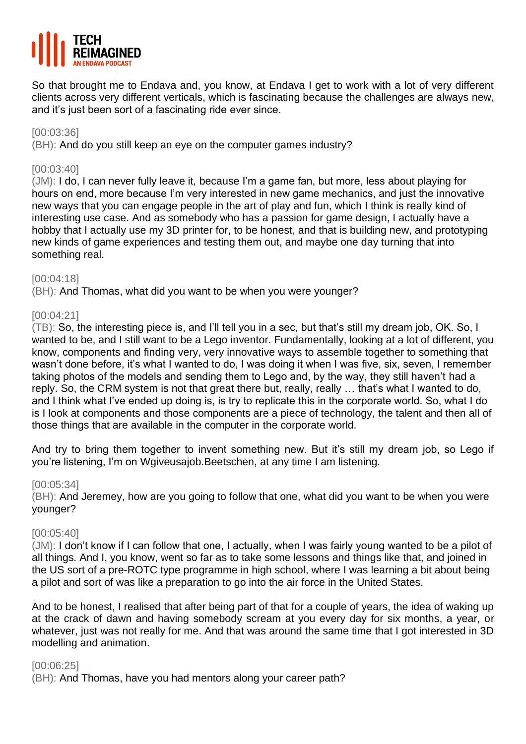

So that brought me to Endava and, you know, at Endava I get to work with a lot of very different clients across very different verticals, which is fascinating because the challenges are always new, and it's just been sort of a fascinating ride ever since.

#### [00:03:36]

(BH): And do you still keep an eye on the computer games industry?

## [00:03:40]

(JM): I do, I can never fully leave it, because I'm a game fan, but more, less about playing for hours on end, more because I'm very interested in new game mechanics, and just the innovative new ways that you can engage people in the art of play and fun, which I think is really kind of interesting use case. And as somebody who has a passion for game design, I actually have a hobby that I actually use my 3D printer for, to be honest, and that is building new, and prototyping new kinds of game experiences and testing them out, and maybe one day turning that into something real.

## [00:04:18]

(BH): And Thomas, what did you want to be when you were younger?

## [00:04:21]

(TB): So, the interesting piece is, and I'll tell you in a sec, but that's still my dream job, OK. So, I wanted to be, and I still want to be a Lego inventor. Fundamentally, looking at a lot of different, you know, components and finding very, very innovative ways to assemble together to something that wasn't done before, it's what I wanted to do, I was doing it when I was five, six, seven, I remember taking photos of the models and sending them to Lego and, by the way, they still haven't had a reply. So, the CRM system is not that great there but, really, really … that's what I wanted to do, and I think what I've ended up doing is, is try to replicate this in the corporate world. So, what I do is I look at components and those components are a piece of technology, the talent and then all of those things that are available in the computer in the corporate world.

And try to bring them together to invent something new. But it's still my dream job, so Lego if you're listening, I'm on Wgiveusajob.Beetschen, at any time I am listening.

#### [00:05:34]

(BH): And Jeremey, how are you going to follow that one, what did you want to be when you were younger?

#### [00:05:40]

(JM): I don't know if I can follow that one, I actually, when I was fairly young wanted to be a pilot of all things. And I, you know, went so far as to take some lessons and things like that, and joined in the US sort of a pre-ROTC type programme in high school, where I was learning a bit about being a pilot and sort of was like a preparation to go into the air force in the United States.

And to be honest, I realised that after being part of that for a couple of years, the idea of waking up at the crack of dawn and having somebody scream at you every day for six months, a year, or whatever, just was not really for me. And that was around the same time that I got interested in 3D modelling and animation.

#### [00:06:25]

(BH): And Thomas, have you had mentors along your career path?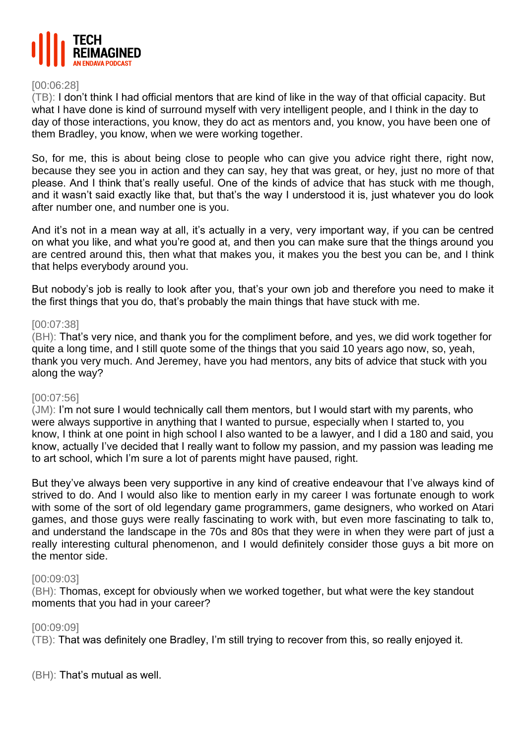

#### [00:06:28]

(TB): I don't think I had official mentors that are kind of like in the way of that official capacity. But what I have done is kind of surround myself with very intelligent people, and I think in the day to day of those interactions, you know, they do act as mentors and, you know, you have been one of them Bradley, you know, when we were working together.

So, for me, this is about being close to people who can give you advice right there, right now, because they see you in action and they can say, hey that was great, or hey, just no more of that please. And I think that's really useful. One of the kinds of advice that has stuck with me though, and it wasn't said exactly like that, but that's the way I understood it is, just whatever you do look after number one, and number one is you.

And it's not in a mean way at all, it's actually in a very, very important way, if you can be centred on what you like, and what you're good at, and then you can make sure that the things around you are centred around this, then what that makes you, it makes you the best you can be, and I think that helps everybody around you.

But nobody's job is really to look after you, that's your own job and therefore you need to make it the first things that you do, that's probably the main things that have stuck with me.

#### [00:07:38]

(BH): That's very nice, and thank you for the compliment before, and yes, we did work together for quite a long time, and I still quote some of the things that you said 10 years ago now, so, yeah, thank you very much. And Jeremey, have you had mentors, any bits of advice that stuck with you along the way?

#### [00:07:56]

(JM): I'm not sure I would technically call them mentors, but I would start with my parents, who were always supportive in anything that I wanted to pursue, especially when I started to, you know, I think at one point in high school I also wanted to be a lawyer, and I did a 180 and said, you know, actually I've decided that I really want to follow my passion, and my passion was leading me to art school, which I'm sure a lot of parents might have paused, right.

But they've always been very supportive in any kind of creative endeavour that I've always kind of strived to do. And I would also like to mention early in my career I was fortunate enough to work with some of the sort of old legendary game programmers, game designers, who worked on Atari games, and those guys were really fascinating to work with, but even more fascinating to talk to, and understand the landscape in the 70s and 80s that they were in when they were part of just a really interesting cultural phenomenon, and I would definitely consider those guys a bit more on the mentor side.

#### [00:09:03]

(BH): Thomas, except for obviously when we worked together, but what were the key standout moments that you had in your career?

#### [00:09:09]

(TB): That was definitely one Bradley, I'm still trying to recover from this, so really enjoyed it.

(BH): That's mutual as well.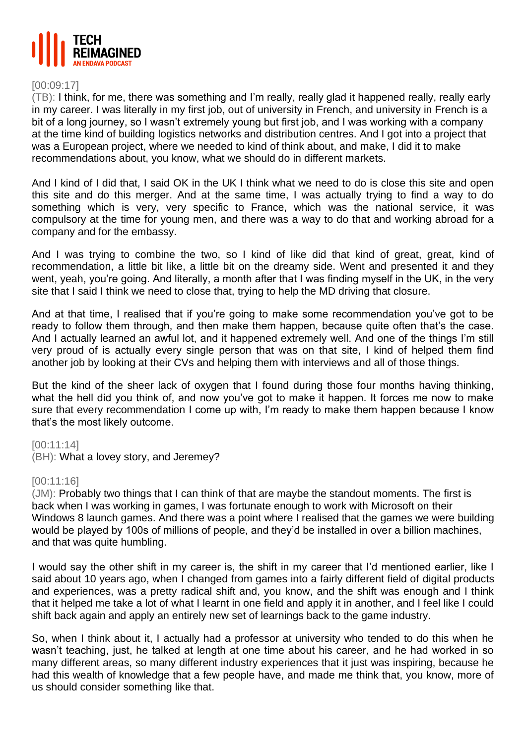

## [00:09:17]

(TB): I think, for me, there was something and I'm really, really glad it happened really, really early in my career. I was literally in my first job, out of university in French, and university in French is a bit of a long journey, so I wasn't extremely young but first job, and I was working with a company at the time kind of building logistics networks and distribution centres. And I got into a project that was a European project, where we needed to kind of think about, and make, I did it to make recommendations about, you know, what we should do in different markets.

And I kind of I did that, I said OK in the UK I think what we need to do is close this site and open this site and do this merger. And at the same time, I was actually trying to find a way to do something which is very, very specific to France, which was the national service, it was compulsory at the time for young men, and there was a way to do that and working abroad for a company and for the embassy.

And I was trying to combine the two, so I kind of like did that kind of great, great, kind of recommendation, a little bit like, a little bit on the dreamy side. Went and presented it and they went, yeah, you're going. And literally, a month after that I was finding myself in the UK, in the very site that I said I think we need to close that, trying to help the MD driving that closure.

And at that time, I realised that if you're going to make some recommendation you've got to be ready to follow them through, and then make them happen, because quite often that's the case. And I actually learned an awful lot, and it happened extremely well. And one of the things I'm still very proud of is actually every single person that was on that site, I kind of helped them find another job by looking at their CVs and helping them with interviews and all of those things.

But the kind of the sheer lack of oxygen that I found during those four months having thinking, what the hell did you think of, and now you've got to make it happen. It forces me now to make sure that every recommendation I come up with, I'm ready to make them happen because I know that's the most likely outcome.

[00:11:14]

(BH): What a lovey story, and Jeremey?

## [00:11:16]

(JM): Probably two things that I can think of that are maybe the standout moments. The first is back when I was working in games, I was fortunate enough to work with Microsoft on their Windows 8 launch games. And there was a point where I realised that the games we were building would be played by 100s of millions of people, and they'd be installed in over a billion machines, and that was quite humbling.

I would say the other shift in my career is, the shift in my career that I'd mentioned earlier, like I said about 10 years ago, when I changed from games into a fairly different field of digital products and experiences, was a pretty radical shift and, you know, and the shift was enough and I think that it helped me take a lot of what I learnt in one field and apply it in another, and I feel like I could shift back again and apply an entirely new set of learnings back to the game industry.

So, when I think about it, I actually had a professor at university who tended to do this when he wasn't teaching, just, he talked at length at one time about his career, and he had worked in so many different areas, so many different industry experiences that it just was inspiring, because he had this wealth of knowledge that a few people have, and made me think that, you know, more of us should consider something like that.